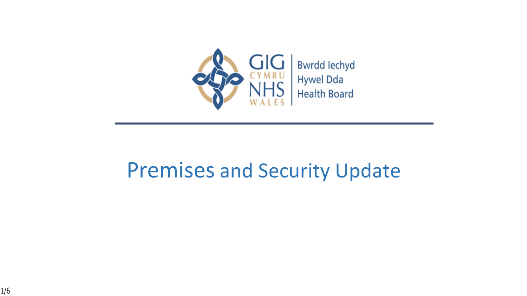

### Premises and Security Update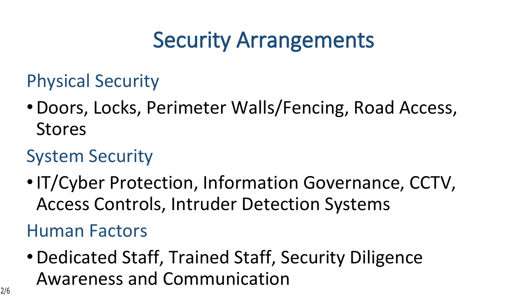# **Security Arrangements**

Physical Security

•Doors, Locks, Perimeter Walls/Fencing, Road Access, Stores

### System Security

•IT/Cyber Protection, Information Governance, CCTV, Access Controls, Intruder Detection Systems

Human Factors

•Dedicated Staff, Trained Staff, Security Diligence Awareness and Communication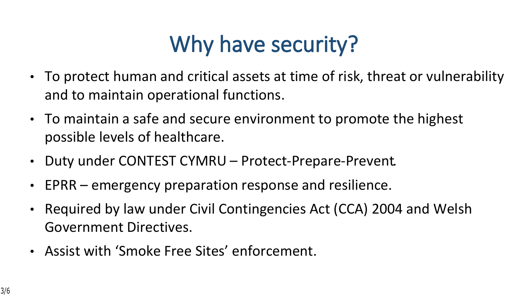# **Why have security?**

- To protect human and critical assets at time of risk, threat or vulnerability and to maintain operational functions.
- To maintain a safe and secure environment to promote the highest possible levels of healthcare.
- Duty under CONTEST CYMRU Protect-Prepare-Prevent.
- EPRR emergency preparation response and resilience.
- Required by law under Civil Contingencies Act (CCA) 2004 and Welsh Government Directives.
- Assist with 'Smoke Free Sites' enforcement.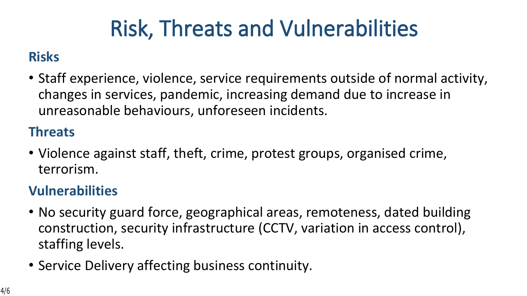# **Risk, Threats and Vulnerabilities**

#### **Risks**

• Staff experience, violence, service requirements outside of normal activity, changes in services, pandemic, increasing demand due to increase in unreasonable behaviours, unforeseen incidents.

#### **Threats**

• Violence against staff, theft, crime, protest groups, organised crime, terrorism.

#### **Vulnerabilities**

- No security guard force, geographical areas, remoteness, dated building construction, security infrastructure (CCTV, variation in access control), staffing levels.
- Service Delivery affecting business continuity.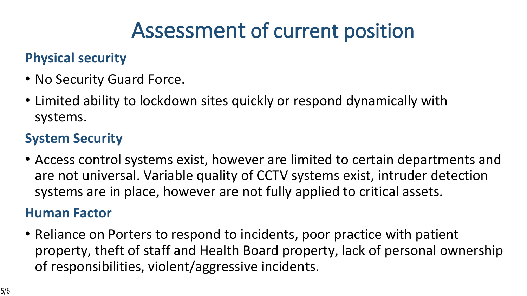## **Assessment of current position**

#### **Physical security**

- No Security Guard Force.
- Limited ability to lockdown sites quickly or respond dynamically with systems.

#### **System Security**

• Access control systems exist, however are limited to certain departments and are not universal. Variable quality of CCTV systems exist, intruder detection systems are in place, however are not fully applied to critical assets.

#### **Human Factor**

• Reliance on Porters to respond to incidents, poor practice with patient property, theft of staff and Health Board property, lack of personal ownership of responsibilities, violent/aggressive incidents.